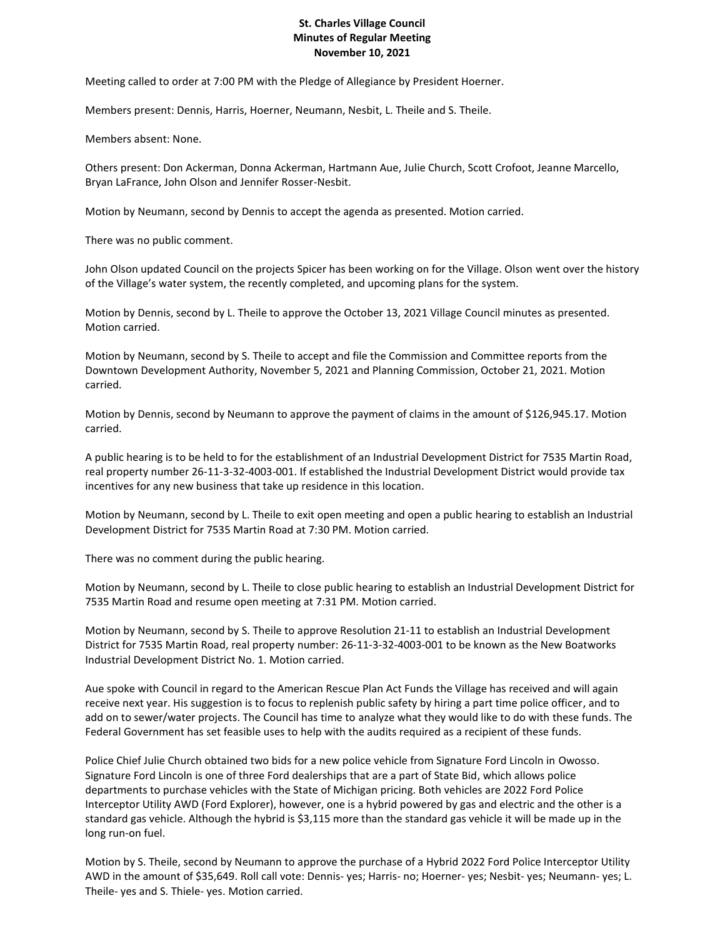## **St. Charles Village Council Minutes of Regular Meeting November 10, 2021**

Meeting called to order at 7:00 PM with the Pledge of Allegiance by President Hoerner.

Members present: Dennis, Harris, Hoerner, Neumann, Nesbit, L. Theile and S. Theile.

Members absent: None.

Others present: Don Ackerman, Donna Ackerman, Hartmann Aue, Julie Church, Scott Crofoot, Jeanne Marcello, Bryan LaFrance, John Olson and Jennifer Rosser-Nesbit.

Motion by Neumann, second by Dennis to accept the agenda as presented. Motion carried.

There was no public comment.

John Olson updated Council on the projects Spicer has been working on for the Village. Olson went over the history of the Village's water system, the recently completed, and upcoming plans for the system.

Motion by Dennis, second by L. Theile to approve the October 13, 2021 Village Council minutes as presented. Motion carried.

Motion by Neumann, second by S. Theile to accept and file the Commission and Committee reports from the Downtown Development Authority, November 5, 2021 and Planning Commission, October 21, 2021. Motion carried.

Motion by Dennis, second by Neumann to approve the payment of claims in the amount of \$126,945.17. Motion carried.

A public hearing is to be held to for the establishment of an Industrial Development District for 7535 Martin Road, real property number 26-11-3-32-4003-001. If established the Industrial Development District would provide tax incentives for any new business that take up residence in this location.

Motion by Neumann, second by L. Theile to exit open meeting and open a public hearing to establish an Industrial Development District for 7535 Martin Road at 7:30 PM. Motion carried.

There was no comment during the public hearing.

Motion by Neumann, second by L. Theile to close public hearing to establish an Industrial Development District for 7535 Martin Road and resume open meeting at 7:31 PM. Motion carried.

Motion by Neumann, second by S. Theile to approve Resolution 21-11 to establish an Industrial Development District for 7535 Martin Road, real property number: 26-11-3-32-4003-001 to be known as the New Boatworks Industrial Development District No. 1. Motion carried.

Aue spoke with Council in regard to the American Rescue Plan Act Funds the Village has received and will again receive next year. His suggestion is to focus to replenish public safety by hiring a part time police officer, and to add on to sewer/water projects. The Council has time to analyze what they would like to do with these funds. The Federal Government has set feasible uses to help with the audits required as a recipient of these funds.

Police Chief Julie Church obtained two bids for a new police vehicle from Signature Ford Lincoln in Owosso. Signature Ford Lincoln is one of three Ford dealerships that are a part of State Bid, which allows police departments to purchase vehicles with the State of Michigan pricing. Both vehicles are 2022 Ford Police Interceptor Utility AWD (Ford Explorer), however, one is a hybrid powered by gas and electric and the other is a standard gas vehicle. Although the hybrid is \$3,115 more than the standard gas vehicle it will be made up in the long run-on fuel.

Motion by S. Theile, second by Neumann to approve the purchase of a Hybrid 2022 Ford Police Interceptor Utility AWD in the amount of \$35,649. Roll call vote: Dennis- yes; Harris- no; Hoerner- yes; Nesbit- yes; Neumann- yes; L. Theile- yes and S. Thiele- yes. Motion carried.